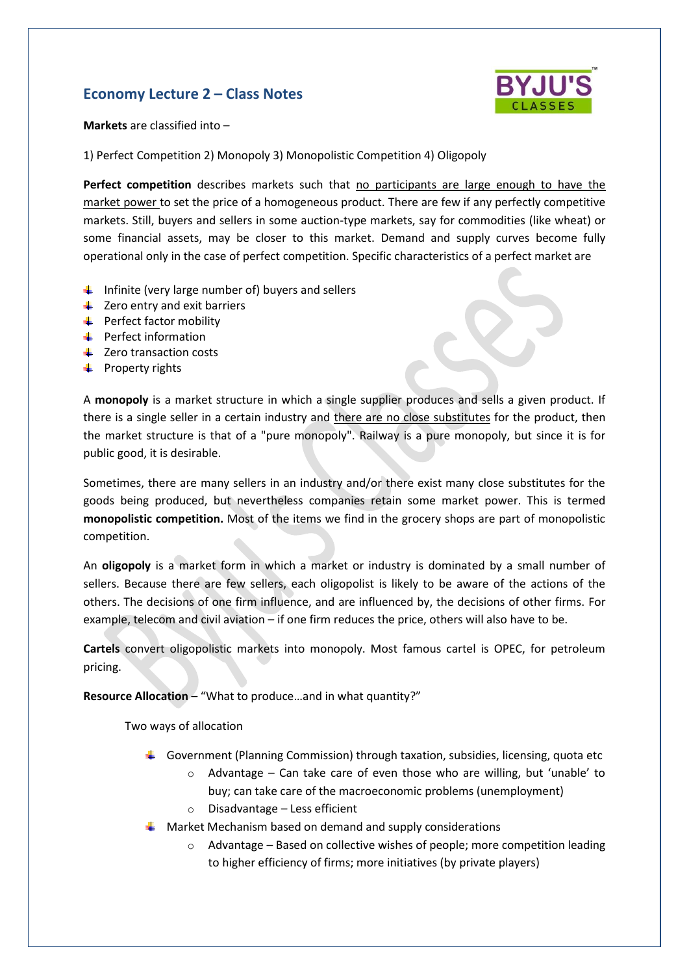# **Economy Lecture 2 – Class Notes**



**Markets** are classified into –

1) Perfect Competition 2) Monopoly 3) Monopolistic Competition 4) Oligopoly

**Perfect competition** describes markets such that no participants are large enough to have the market power to set the price of a homogeneous product. There are few if any perfectly competitive markets. Still, buyers and sellers in some auction-type markets, say for commodities (like wheat) or some financial assets, may be closer to this market. Demand and supply curves become fully operational only in the case of perfect competition. Specific characteristics of a perfect market are

- $\ddot{\phantom{1}}$  Infinite (very large number of) buyers and sellers
- $\downarrow$  Zero entry and exit barriers
- $\leftarrow$  Perfect factor mobility
- $\leftarrow$  Perfect information
- $\downarrow$  Zero transaction costs
- $\downarrow$  Property rights

A **monopoly** is a market structure in which a single supplier produces and sells a given product. If there is a single seller in a certain industry and there are no close substitutes for the product, then the market structure is that of a "pure monopoly". Railway is a pure monopoly, but since it is for public good, it is desirable.

Sometimes, there are many sellers in an industry and/or there exist many close substitutes for the goods being produced, but nevertheless companies retain some market power. This is termed **monopolistic competition.** Most of the items we find in the grocery shops are part of monopolistic competition.

An **oligopoly** is a market form in which a market or industry is dominated by a small number of sellers. Because there are few sellers, each oligopolist is likely to be aware of the actions of the others. The decisions of one firm influence, and are influenced by, the decisions of other firms. For example, telecom and civil aviation – if one firm reduces the price, others will also have to be.

**Cartels** convert oligopolistic markets into monopoly. Most famous cartel is OPEC, for petroleum pricing.

**Resource Allocation** – "What to produce…and in what quantity?"

Two ways of allocation

- Government (Planning Commission) through taxation, subsidies, licensing, quota etc
	- $\circ$  Advantage Can take care of even those who are willing, but 'unable' to buy; can take care of the macroeconomic problems (unemployment)
	- $\circ$  Disadvantage Less efficient
- $\downarrow$  Market Mechanism based on demand and supply considerations
	- $\circ$  Advantage Based on collective wishes of people; more competition leading to higher efficiency of firms; more initiatives (by private players)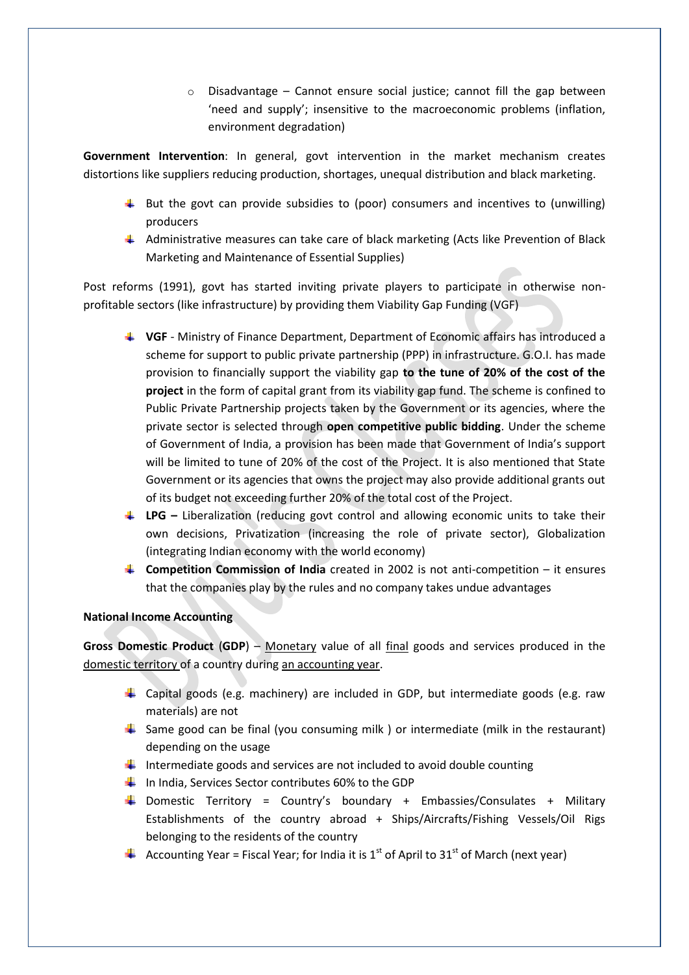$\circ$  Disadvantage – Cannot ensure social justice; cannot fill the gap between 'need and supply'; insensitive to the macroeconomic problems (inflation, environment degradation)

**Government Intervention**: In general, govt intervention in the market mechanism creates distortions like suppliers reducing production, shortages, unequal distribution and black marketing.

- $\ddot{\phantom{1}}$  But the govt can provide subsidies to (poor) consumers and incentives to (unwilling) producers
- $\downarrow$  Administrative measures can take care of black marketing (Acts like Prevention of Black Marketing and Maintenance of Essential Supplies)

Post reforms (1991), govt has started inviting private players to participate in otherwise nonprofitable sectors (like infrastructure) by providing them Viability Gap Funding (VGF)

- **VGF**  Ministry of Finance Department, Department of Economic affairs has introduced a scheme for support to public private partnership (PPP) in infrastructure. G.O.I. has made provision to financially support the viability gap **to the tune of 20% of the cost of the project** in the form of capital grant from its viability gap fund. The scheme is confined to Public Private Partnership projects taken by the Government or its agencies, where the private sector is selected through **open competitive public bidding**. Under the scheme of Government of India, a provision has been made that Government of India's support will be limited to tune of 20% of the cost of the Project. It is also mentioned that State Government or its agencies that owns the project may also provide additional grants out of its budget not exceeding further 20% of the total cost of the Project.
- **LPG** Liberalization (reducing govt control and allowing economic units to take their own decisions, Privatization (increasing the role of private sector), Globalization (integrating Indian economy with the world economy)
- **Competition Commission of India** created in 2002 is not anti-competition it ensures that the companies play by the rules and no company takes undue advantages

## **National Income Accounting**

**Gross Domestic Product** (**GDP**) – Monetary value of all final goods and services produced in the domestic territory of a country during an accounting year.

- $\downarrow$  Capital goods (e.g. machinery) are included in GDP, but intermediate goods (e.g. raw materials) are not
- $\frac{1}{2}$  Same good can be final (you consuming milk ) or intermediate (milk in the restaurant) depending on the usage
- $\ddot{+}$  Intermediate goods and services are not included to avoid double counting
- $\downarrow$  In India, Services Sector contributes 60% to the GDP
- **Domestic Territory = Country's boundary + Embassies/Consulates + Military** Establishments of the country abroad + Ships/Aircrafts/Fishing Vessels/Oil Rigs belonging to the residents of the country
- Accounting Year = Fiscal Year; for India it is 1<sup>st</sup> of April to 31<sup>st</sup> of March (next year)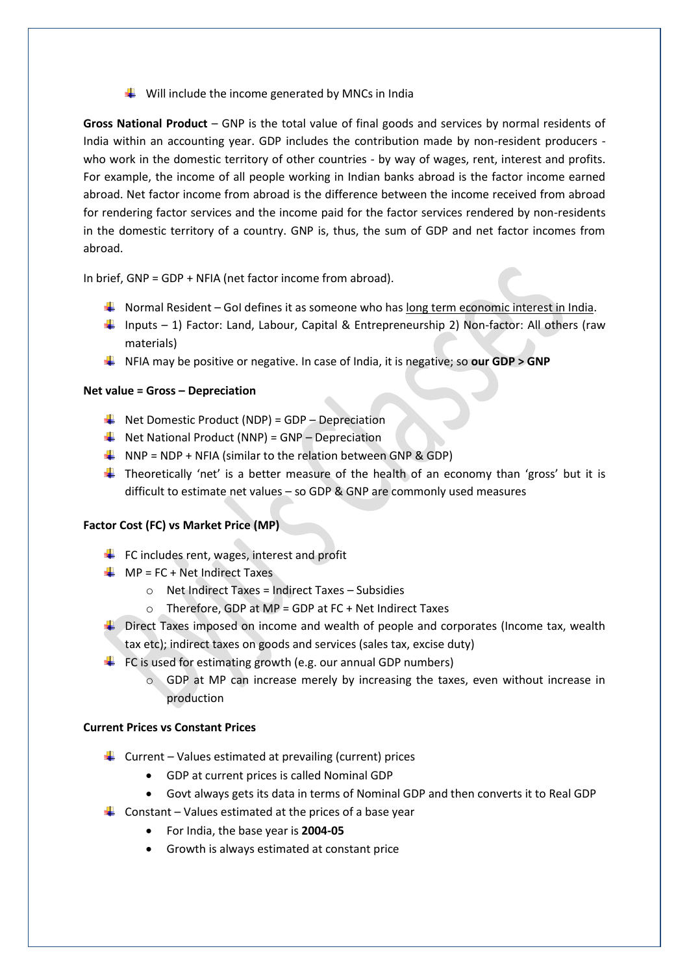$\frac{1}{\sqrt{2}}$  Will include the income generated by MNCs in India

**Gross National Product** – GNP is the total value of final goods and services by normal residents of India within an accounting year. GDP includes the contribution made by non-resident producers who work in the domestic territory of other countries - by way of wages, rent, interest and profits. For example, the income of all people working in Indian banks abroad is the factor income earned abroad. Net factor income from abroad is the difference between the income received from abroad for rendering factor services and the income paid for the factor services rendered by non-residents in the domestic territory of a country. GNP is, thus, the sum of GDP and net factor incomes from abroad.

In brief, GNP = GDP + NFIA (net factor income from abroad).

- Normal Resident GoI defines it as someone who has <u>long term economic interest in India</u>.
- Inputs 1) Factor: Land, Labour, Capital & Entrepreneurship 2) Non-factor: All others (raw materials)
- NFIA may be positive or negative. In case of India, it is negative; so **our GDP > GNP**

#### **Net value = Gross – Depreciation**

- $\downarrow$  Net Domestic Product (NDP) = GDP Depreciation
- $\bigstar$  Net National Product (NNP) = GNP Depreciation
- $\downarrow$  NNP = NDP + NFIA (similar to the relation between GNP & GDP)
- **Theoretically 'net' is a better measure of the health of an economy than 'gross' but it is** difficult to estimate net values – so GDP & GNP are commonly used measures

#### **Factor Cost (FC) vs Market Price (MP)**

- $\ddot{\bullet}$  FC includes rent, wages, interest and profit
- $MP = FC + Net Indirect Taxes$ 
	- $\circ$  Net Indirect Taxes = Indirect Taxes Subsidies
	- $\circ$  Therefore, GDP at MP = GDP at FC + Net Indirect Taxes
- $\downarrow$  Direct Taxes imposed on income and wealth of people and corporates (Income tax, wealth tax etc); indirect taxes on goods and services (sales tax, excise duty)
- $\downarrow$  FC is used for estimating growth (e.g. our annual GDP numbers)
	- $\circ$  GDP at MP can increase merely by increasing the taxes, even without increase in production

### **Current Prices vs Constant Prices**

- Furrent Values estimated at prevailing (current) prices
	- GDP at current prices is called Nominal GDP
	- Govt always gets its data in terms of Nominal GDP and then converts it to Real GDP
- Constant Values estimated at the prices of a base year
	- For India, the base year is **2004-05**
	- Growth is always estimated at constant price